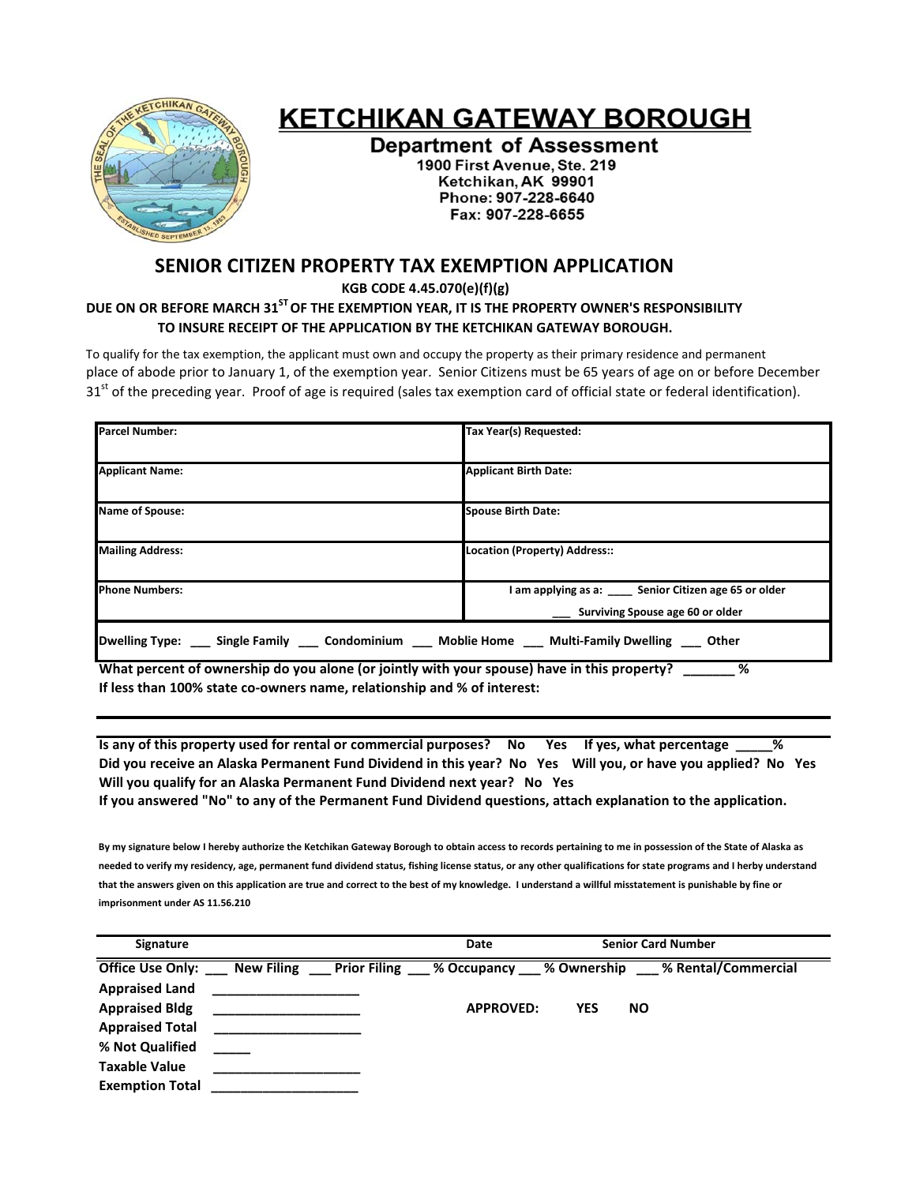

## **KETCHIKAN GATEWAY BOROUGH**

**Department of Assessment** 1900 First Avenue, Ste. 219 Ketchikan, AK 99901 Phone: 907-228-6640 Fax: 907-228-6655

## **SENIOR CITIZEN PROPERTY TAX EXEMPTION APPLICATION**

 **KGB CODE 4.45.070(e)(f)(g)**

## **DUE ON OR BEFORE MARCH 31STOF THE EXEMPTION YEAR, IT IS THE PROPERTY OWNER'S RESPONSIBILITY TO INSURE RECEIPT OF THE APPLICATION BY THE KETCHIKAN GATEWAY BOROUGH.**

To qualify for the tax exemption, the applicant must own and occupy the property as their primary residence and permanent place of abode prior to January 1, of the exemption year. Senior Citizens must be 65 years of age on or before December 31<sup>st</sup> of the preceding year. Proof of age is required (sales tax exemption card of official state or federal identification).

| <b>Parcel Number:</b>                                                            | Tax Year(s) Requested:                                                                 |  |  |  |
|----------------------------------------------------------------------------------|----------------------------------------------------------------------------------------|--|--|--|
| <b>Applicant Name:</b>                                                           | <b>Applicant Birth Date:</b>                                                           |  |  |  |
| Name of Spouse:                                                                  | <b>Spouse Birth Date:</b>                                                              |  |  |  |
| <b>Mailing Address:</b>                                                          | Location (Property) Address::                                                          |  |  |  |
| <b>Phone Numbers:</b>                                                            | I am applying as a: Senior Citizen age 65 or older<br>Surviving Spouse age 60 or older |  |  |  |
| Dwelling Type: Single Family Condominium Moblie Home Multi-Family Dwelling Other |                                                                                        |  |  |  |

What percent of ownership do you alone (or jointly with your spouse) have in this property? **If less than 100% state co‐owners name, relationship and % of interest:**

Is any of this property used for rental or commercial purposes? No Yes If yes, what percentage % Did you receive an Alaska Permanent Fund Dividend in this year? No Yes Will you, or have you applied? No Yes **Will you qualify for an Alaska Permanent Fund Dividend next year? No Yes**

If you answered "No" to any of the Permanent Fund Dividend questions, attach explanation to the application.

By my signature below I hereby authorize the Ketchikan Gateway Borough to obtain access to records pertaining to me in possession of the State of Alaska as needed to verify my residency, age, permanent fund dividend status, fishing license status, or any other qualifications for state programs and I herby understand that the answers given on this application are true and correct to the best of my knowledge. I understand a willful misstatement is punishable by fine or **imprisonment under AS 11.56.210**

| <b>Signature</b>            | Date                                                      |     | <b>Senior Card Number</b> |  |
|-----------------------------|-----------------------------------------------------------|-----|---------------------------|--|
| Office Use Only: New Filing | <b>Example 1</b> Prior Filing 3 % Occupancy 3 % Ownership |     | % Rental/Commercial       |  |
| <b>Appraised Land</b>       |                                                           |     |                           |  |
| <b>Appraised Bldg</b>       | <b>APPROVED:</b>                                          | YES | <b>NO</b>                 |  |
| <b>Appraised Total</b>      |                                                           |     |                           |  |
| % Not Qualified             |                                                           |     |                           |  |
| <b>Taxable Value</b>        |                                                           |     |                           |  |
| <b>Exemption Total</b>      |                                                           |     |                           |  |